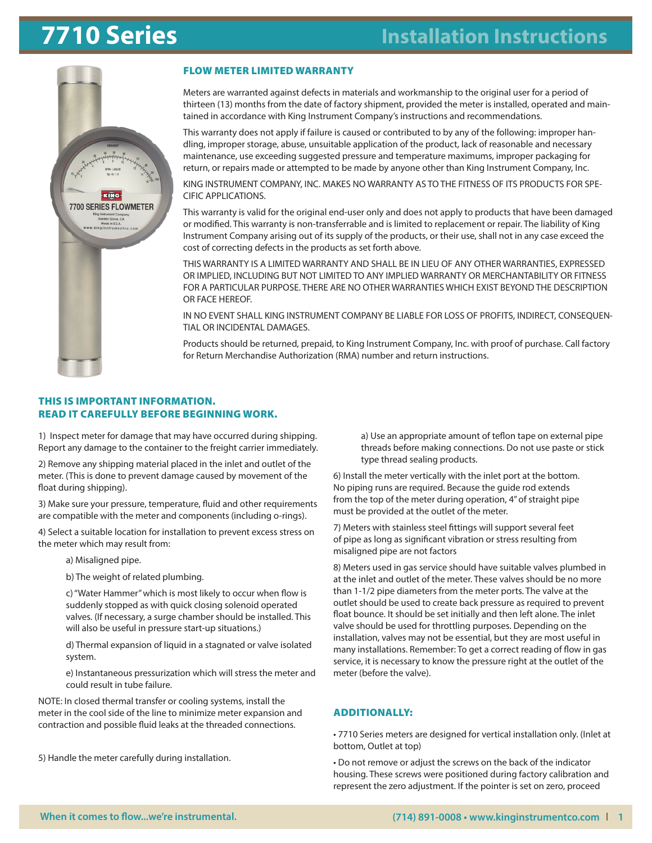

#### FLOW METER LIMITED WARRANTY

Meters are warranted against defects in materials and workmanship to the original user for a period of thirteen (13) months from the date of factory shipment, provided the meter is installed, operated and maintained in accordance with King Instrument Company's instructions and recommendations.

This warranty does not apply if failure is caused or contributed to by any of the following: improper handling, improper storage, abuse, unsuitable application of the product, lack of reasonable and necessary maintenance, use exceeding suggested pressure and temperature maximums, improper packaging for return, or repairs made or attempted to be made by anyone other than King Instrument Company, Inc.

KING INSTRUMENT COMPANY, INC. MAKES NO WARRANTY AS TO THE FITNESS OF ITS PRODUCTS FOR SPE-CIFIC APPLICATIONS.

This warranty is valid for the original end-user only and does not apply to products that have been damaged or modified. This warranty is non-transferrable and is limited to replacement or repair. The liability of King Instrument Company arising out of its supply of the products, or their use, shall not in any case exceed the cost of correcting defects in the products as set forth above.

THIS WARRANTY IS A LIMITED WARRANTY AND SHALL BE IN LIEU OF ANY OTHER WARRANTIES, EXPRESSED OR IMPLIED, INCLUDING BUT NOT LIMITED TO ANY IMPLIED WARRANTY OR MERCHANTABILITY OR FITNESS FOR A PARTICULAR PURPOSE. THERE ARE NO OTHER WARRANTIES WHICH EXIST BEYOND THE DESCRIPTION OR FACE HEREOF.

IN NO EVENT SHALL KING INSTRUMENT COMPANY BE LIABLE FOR LOSS OF PROFITS, INDIRECT, CONSEQUEN-TIAL OR INCIDENTAL DAMAGES.

Products should be returned, prepaid, to King Instrument Company, Inc. with proof of purchase. Call factory for Return Merchandise Authorization (RMA) number and return instructions.

#### THIS IS IMPORTANT INFORMATION. READ IT CAREFULLY BEFORE BEGINNING WORK.

1) Inspect meter for damage that may have occurred during shipping. Report any damage to the container to the freight carrier immediately.

2) Remove any shipping material placed in the inlet and outlet of the meter. (This is done to prevent damage caused by movement of the float during shipping).

3) Make sure your pressure, temperature, fluid and other requirements are compatible with the meter and components (including o-rings).

4) Select a suitable location for installation to prevent excess stress on the meter which may result from:

a) Misaligned pipe.

b) The weight of related plumbing.

c) "Water Hammer" which is most likely to occur when flow is suddenly stopped as with quick closing solenoid operated valves. (If necessary, a surge chamber should be installed. This will also be useful in pressure start-up situations.)

d) Thermal expansion of liquid in a stagnated or valve isolated system.

e) Instantaneous pressurization which will stress the meter and could result in tube failure.

NOTE: In closed thermal transfer or cooling systems, install the meter in the cool side of the line to minimize meter expansion and contraction and possible fluid leaks at the threaded connections.

5) Handle the meter carefully during installation.

a) Use an appropriate amount of teflon tape on external pipe threads before making connections. Do not use paste or stick type thread sealing products.

6) Install the meter vertically with the inlet port at the bottom. No piping runs are required. Because the guide rod extends from the top of the meter during operation, 4" of straight pipe must be provided at the outlet of the meter.

7) Meters with stainless steel fittings will support several feet of pipe as long as significant vibration or stress resulting from misaligned pipe are not factors

8) Meters used in gas service should have suitable valves plumbed in at the inlet and outlet of the meter. These valves should be no more than 1-1/2 pipe diameters from the meter ports. The valve at the outlet should be used to create back pressure as required to prevent float bounce. It should be set initially and then left alone. The inlet valve should be used for throttling purposes. Depending on the installation, valves may not be essential, but they are most useful in many installations. Remember: To get a correct reading of flow in gas service, it is necessary to know the pressure right at the outlet of the meter (before the valve).

#### ADDITIONALLY:

• 7710 Series meters are designed for vertical installation only. (Inlet at bottom, Outlet at top)

• Do not remove or adjust the screws on the back of the indicator housing. These screws were positioned during factory calibration and represent the zero adjustment. If the pointer is set on zero, proceed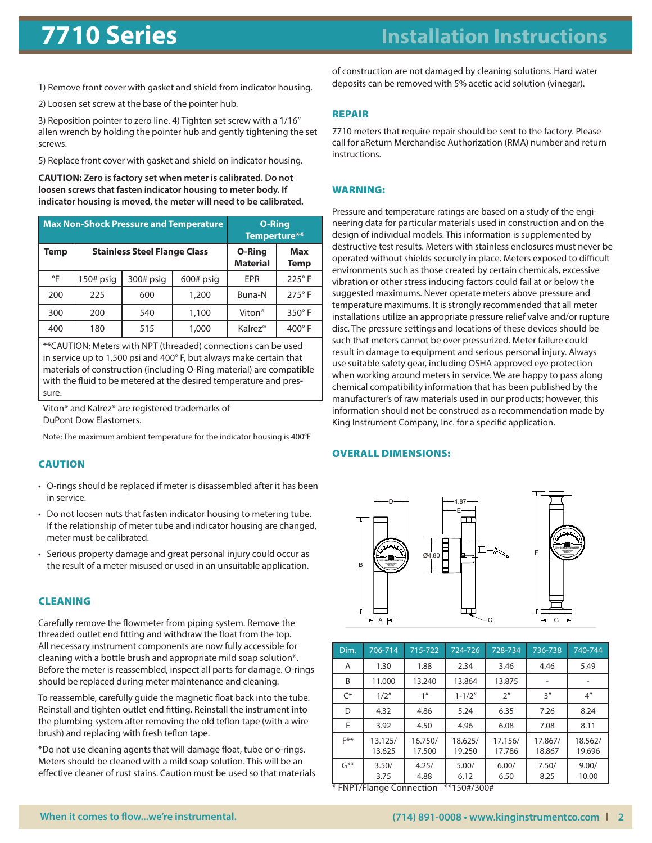## **7710 Series** before beginning work.

## <u>cause in the cause</u> **Installation Instructions**

- 1) Remove front cover with gasket and shield from indicator housing.
	- 2) Loosen set screw at the base of the pointer hub.

3) Reposition pointer to zero line. 4) Tighten set screw with a 1/16" allen wrench by holding the pointer hub and gently tightening the set screws.

5) Replace front cover with gasket and shield on indicator housing. b) The weight of related plumbing.

**CAUTION:** Zero is factory set when meter is calibrated. Do not loosen screws that fasten indicator housing to meter body. If **is useful the instrumentation includes the installed in pressure in pressure in pressure in pressure in pressure** 

| <b>Max Non-Shock Pressure and Temperature</b> |             |                                     |                                  | <b>O-Ring</b><br>Temperture** |               |
|-----------------------------------------------|-------------|-------------------------------------|----------------------------------|-------------------------------|---------------|
| Temp                                          |             | <b>Stainless Steel Flange Class</b> | <b>O-Ring</b><br><b>Material</b> | <b>Max</b><br>Temp            |               |
| °F                                            | $150#$ psig | $300#$ psig                         | $600#$ psig                      | <b>EPR</b>                    | $225^\circ$ F |
| 200                                           | 225         | 600                                 | 1,200                            | Buna-N                        | $275^\circ$ F |
| 300                                           | 200         | 540                                 | 1,100                            | Viton <sup>®</sup>            | 350°F         |
| 400                                           | 180         | 515                                 | 1,000                            | Kalrez <sup>®</sup>           | 400°F         |

<sup>\*\*</sup>CAUTION: Meters with NPT (threaded) connections can be used 8) Meters used in gas service should have suitable valves plumbed in at the inlet and outlet of the meter. These valves should be no more than 1-1/2 pipe in service up to 1,500 psi and 400° F, but always make certain that  $\vert$  materials of construction (including O-Ring material) are compatible materials of construction (including of thrigh indeedial, are compati-<br>with the fluid to be metered at the desired temperature and prespurposes. Depending on the installation, values may not be essential, but they not be essential, but they not be essential, but they not be essential, but they not be essential, but they not be essential, but they not be e are most useful installations. Remember: To get a correct reading of  $\alpha$ sure.

Viton® and Kalrez® are registered trademarks of meter and namez are reset

Note: The maximum ambient temperature for the indicator housing is 400°F

#### -Do not remove or adjust the screws on the back of the indicator housing. CAUTION **These screws were positioned during factory calibration and represent the represent theorem and represent the represent the represent the represent the represent to the represent the represent to the represent to the repr**

- O-rings should be replaced if meter is disassembled after it has been in service.
	- Do not loosen nuts that fasten indicator housing to metering tube. If the relationship of meter tube and indicator housing are changed, 14 The Feddom ship of meter tabe and mareator housing are end<br>meter must be calibrated.
- the result of a meter misused or used in an unsuitable applica the result of a meter misused or used in an unsuitable application. • Serious property damage and great personal injury could occur as

## **CLEANING**

ancaded batter end many and withdraw the noar nomine top.<br>All necessary instrument components are now fully accessible for cleaning with a bottle brush and appropriate mild soap solution\*. piopi<br>' spect a oup 30<br>T eleming with a bottle brash and appropriate rima soap soldion. Edictally remove the nowmeter non-piping system. Henove the<br>threaded outlet end fitting and withdraw the float from the top. should be replaced during meter maintenance and cleaning. Carefully remove the flowmeter from piping system. Remove the

Reinstall and tighten outlet end fitting. Reinstall the instrument into nentstan and tighten batter end htting. Keinstan the instrument life<br>the plumbing system after removing the old teflon tape (with a wire brush) and replacing with fresh teflon tape. To reassemble, carefully guide the magnetic float back into the tube.

\*Do not use cleaning agents that will damage float, tube or o-rings. Meters should be cleaned with a mild soap solution. This will be an effective cleaner of rust stains. Caution must be used so that materials of construction are not damaged by cleaning solutions. Hard water -Do not loosen nuts that fasten indicator housing to metering tube. If the relationship of meter tube and indicator housing are changed, meter must deposits can be removed with 5% acetic acid solution (vinegar).

## **REPAIR** and used of a meter misused or used in an unsuitable application.

Carefully remove the flowmeter from piping system. Remove the threaded outlet end fitting and withdraw the float from the top. All necessary call for aReturn Merchandise Authorization (RMA) number and return instructions. The normal accessible for cleaning with a bottle for cleaning with a bottle for cleaning with a bottle for cleaning with a bottle for cleaning with a bottle for cleaning with a bottle for cleaning with a bott 7710 meters that require repair should be sent to the factory. Please

### To reassemble, carefully guide the magnetic float back into the tube. WARNING:

disc. The pressure settings and locations of these devices should be data for pressure settings and occurring of these devices should by such that meters cannot be over pressurized. Meter failure could result in damage to equipment and serious personal injury. Always estate in damage to equipment and senods personal injury. Always when working around meters in service. We are happy to pass along recommended that meters in service. We are happy to pass along the mical compatibility information that has been published by the manufacturer's of raw materials used in our products; however, this mandacturer s or law materials dsee in our products, nowever, ans<br>information should not be construed as a recommendation made by King Instrument Company, Inc. for a specific application. installations utilize an appropriate pressure relief valve and/or rupture Pressure and temperature ratings are based on a study of the engineering data for particular materials used in construction and on the design of individual models. This information is supplemented by destructive test results. Meters with stainless enclosures must never be destructive test results. Meters with stallness encreasing mast never be operated without shields securely in place. Meters exposed to difficult vibration or other stress inducing factors could fail at or below the suggested maximums. Never operate meters above pressure and temperature maximums. It is strongly recommended that all meter environments such as those created by certain chemicals, excessive<br>ribution or other thas indusing factors sould fail at an halou the

## OVERALL DIMENSIONS:



| Dim.            | 706-714                                   | 715-722           | 724-726                        | 728-734           | 736-738           | 740-744           |
|-----------------|-------------------------------------------|-------------------|--------------------------------|-------------------|-------------------|-------------------|
| A               | 1.30                                      | 1.88              | 2.34                           | 3.46              | 4.46              | 5.49              |
| B               | 11.000                                    | 13.240            | 13.864                         | 13.875            |                   |                   |
| $\mathcal{C}^*$ | 1/2"                                      | 1 <sup>''</sup>   | $1 - 1/2"$                     | 2 <sup>''</sup>   | 3''               | 4 <sup>''</sup>   |
| D               | 4.32                                      | 4.86              | 5.24                           | 6.35              | 7.26              | 8.24              |
| E               | 3.92                                      | 4.50              | 4.96                           | 6.08              | 7.08              | 8.11              |
| $F$ **          | 13.125/<br>13.625                         | 16.750/<br>17.500 | 18.625/<br>19.250              | 17.156/<br>17.786 | 17.867/<br>18.867 | 18.562/<br>19.696 |
| $G^{**}$        | 3.50/<br>3.75<br>* ENDT/Flange Connection | 4.25/<br>4.88     | 5.00/<br>6.12<br>$**150#1200#$ | 6.00/<br>6.50     | 7.50/<br>8.25     | 9.00/<br>10.00    |

\* FNPT/Flange Connection \*\*150#/300#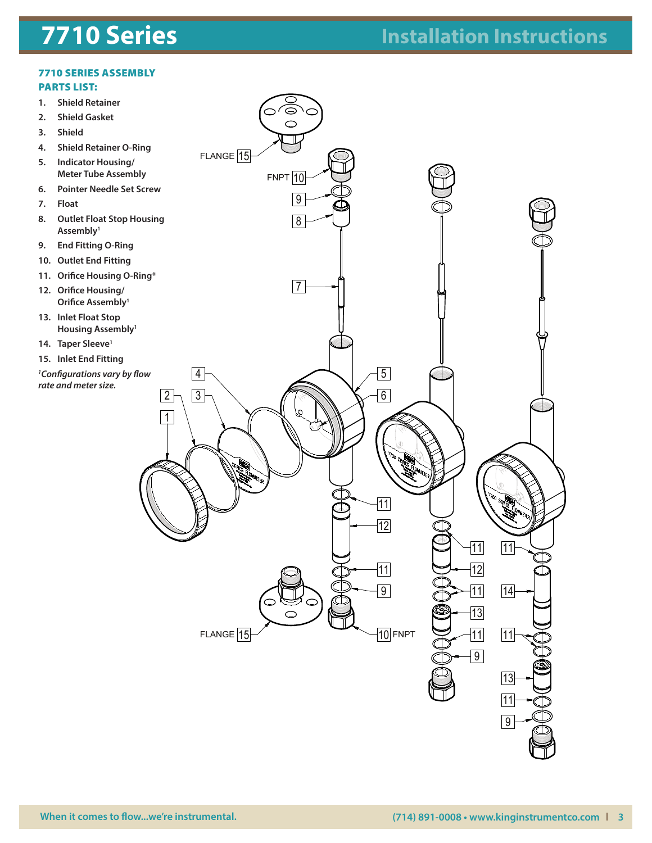#### plumbing system after removing the old teflon tape (with a wire brush) and  $\overline{\phantom{a}}$ OCTOBER FLOAT STOP CONFIGURATIONS VARY BY FLOW RATE AND METER SIZE. 1

#### $\mathcal{M}(\mathcal{S})$ **7710 SERIES** PARTS LIST: 7710 SERIES ASSEMBLY

- **1. Shield Retainer**
- **2. Shield Gasket**
- 3. Shield **3. Shield**
- $f(x) = 4$ **4. Shield Retainer O-Ring**
	- **5. Indicator Housing/ Meter Tube Assembly**
- 6. Pointer Nee **6. Pointer Needle Set Screw**
- data for particular materials used in the design of the design of the design of the design of the design of th<br>Separate in construction and on the design of the design of the design of the design of the design of the desig **7. Float**
- $\overline{\phantom{a}}$  models. The information is supplemented by destructive testresults. Meters B. Coutlet Fic shields secure in place. Meteoral securit environments such a securit en un est un est un est un element en un<br>Environment en un element en un element en un element en un element en un element en un element en un element **8. Outlet Float Stop Housing Assembly1**
- **9. End Fitting O-Ring**
- $\overline{\phantom{a}}$  for  $\overline{\phantom{a}}$  factors could fail at  $\overline{\phantom{a}}$ operation of the meter and temperature may be pressured in the strongly strongly in the material of the strongly strongly in the strongly strongly strongly strongly strongly strongly strongly strongly strongly strongly str **10. Outlet End Fitting**
- **11. Orifice Housing O-Ring\***
- 12. Orific these devices showing that the such that meters showing be such that  $\alpha$ **12. Orifice Housing/ Orifice Assembly1**
- Meter failure could result in damage to execute the serious personal result in damage to equipment and serious<br>Meter failure personal result in damage to executive personal result in damage to equipment and serious persona injury. Always use suitable surface surface surface surface surface surface surface surface surface surface su<br>International of the suitable surface surface surface surface surface surface surface surface surface surface<br>I **protection when we are happy to part of**  $\boldsymbol{\mu}$ **13. Inlet Float Stop Housing Assembly1**
- 14. **Taper Sleeve**<sup>1</sup>
- $\frac{15}{15}$  ln  $\frac{1}{2}$  internot be constructed as a recommendation made by Kingdom as a recommendation made by Kingdom as a recommendation made by Kingdom as a recommendation made by Kingdom as  $\frac{1}{2}$ **15. Inlet End Fitting**
	- *1 Configurations vary by flow rate and meter size.*

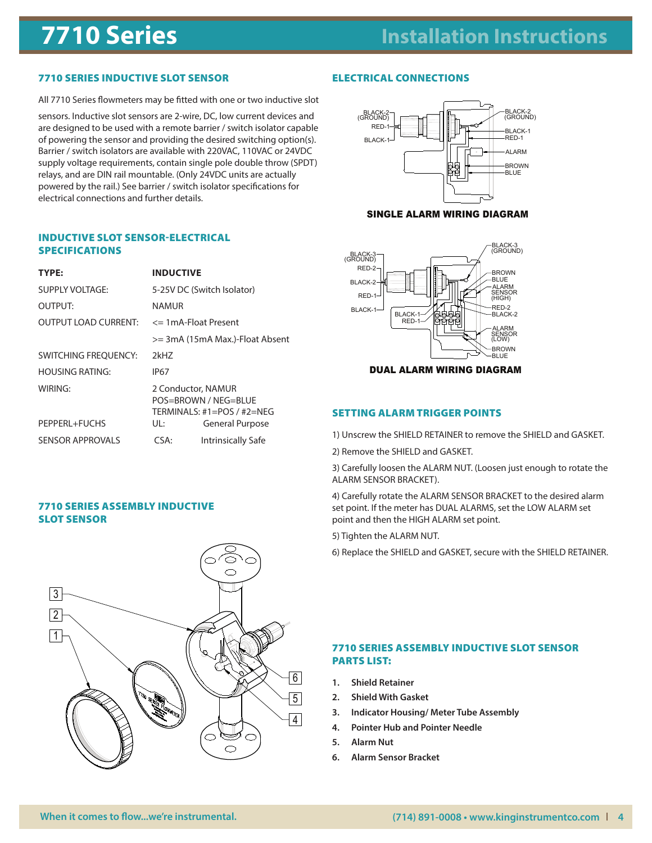#### details. SPECIFICATIONS OUTPUT LOAD CURRENT: NAMUR <= 1mA-Float Present >= 3mA (15mA Max.)-Float Absent

WIRING: 2 Conductor, NAMURA 2012, 2014

TEMPERATURE INFLUENCE (AMBIENT):  $\frac{1}{2}$  per degree  $\frac{1}{2}$  per degree  $\frac{1}{2}$ 

General Purpose

OUTPUT:

MAXIMUM CURRENT CONSUMPTION:

## 7710 SERIES INDUCTIVE SLOT SENSOR

All 7710 Series flowmeters may be fitted with one or two inductive slot AIL 77 TO SERES NOWHELETS THRY DE TITLED WITH ONE (

sensors. Inductive slot sensors are 2-wire, DC, low current devices and are designed to be used with a remote barrier / switch isolator capable of powering the sensor and providing the desired switching option(s). BLACK-1 Barrier / switch isolators are available with 220VAC, 110VAC or 24VDC supply voltage requirements, contain single pole double throw (SPDT)  $\begin{bmatrix} 1 & 1 \\ 2 & 3 \end{bmatrix}$ relays, and are DIN rail mountable. (Only 24VDC units are actually powered by the rail.) See barrier / switch isolator specifications for electrical connections and further details.  $P$ External Purpose and  $P$  and  $P$  and  $P$  and  $P$  and  $P$  and  $P$  and  $P$  and  $P$  and  $P$  and  $P$  and  $P$  and  $P$  and  $P$  and  $P$  and  $P$  and  $P$  and  $P$  and  $P$  and  $P$  and  $P$  and  $P$  and  $P$  and  $P$  and  $P$  and  $P$  a

#### **INDUCTIVE SLOT SENSOR-ELECTRICAL** mpod:<br>SPECIFICATIONS RED-1

| TYPE:                       | <b>INDUCTIVE</b>                                                |                                                                                | $RED-2-$<br>-BROWN                                              |  |  |
|-----------------------------|-----------------------------------------------------------------|--------------------------------------------------------------------------------|-----------------------------------------------------------------|--|--|
| <b>SUPPLY VOLTAGE:</b>      | 5-25V DC (Switch Isolator)<br>NAMUR<br>$\le$ 1 mA-Float Present |                                                                                | -BLUE<br>BLACK-2-<br>- ALARM<br>SENSOR<br>(HIGH)<br>$RED-1$     |  |  |
| <b>OUTPUT:</b>              |                                                                 |                                                                                | -RED-2<br>$BLACK-1$ <sup>-1</sup>                               |  |  |
| <b>OUTPUT LOAD CURRENT:</b> |                                                                 |                                                                                | BLACK-1-<br>-BLACK-2<br>RED-1-                                  |  |  |
|                             |                                                                 | >= 3mA (15mA Max.)-Float Absent                                                | -ALARM<br>SENSOR<br>(LOW)                                       |  |  |
| SWITCHING FREQUENCY:        | 2kHZ                                                            |                                                                                | -BROWN<br>-BLUE                                                 |  |  |
| <b>HOUSING RATING:</b>      | <b>IP67</b>                                                     |                                                                                | <b>DUAL ALARM WIRING DIAGRAM</b>                                |  |  |
| WIRING:                     |                                                                 | 2 Conductor, NAMUR<br>POS=BROWN / NEG=BLUE<br>TERMINALS: $#1 = POS / #2 = NEG$ | <b>SETTING ALARM TRIGGER POINTS</b>                             |  |  |
| PEPPERL+FUCHS               | UL:                                                             | <b>General Purpose</b>                                                         |                                                                 |  |  |
| <b>SENSOR APPROVALS</b>     | CSA:                                                            | <b>Intrinsically Safe</b>                                                      | 1) Unscrew the SHIELD RETAINER to remove the SHIELD and GASKET. |  |  |
|                             |                                                                 |                                                                                | 2) Remove the SHIELD and GASKET.                                |  |  |

# 7710 SERIES ASSEMBLY SLOT SENSOR



## **ELECTRICAL CONNECTIONS**



SENSOR APPROVALS: CSA:

#### SINGLE ALARM WIRING DIAGRAM



3) Carefully loosen the ALARM NUT. (Loosen just enough to rotate the point and meter has been interesting the meter of the meter specifical point  $\alpha$ .

4) Carefully rotate the ALARM SENSOR BRACKET to the desired alarm set point. If the meter has DUAL ALARMS, set the LOW ALARM set point and then the HIGH ALARM set point.

5) Tighten the ALARM NUT.

For synthesis and the shifted and GASKET, secure with the SHIELD RETAINER.

### 7710 SERIES ASSEMBLY INDUCTIVE SLOT SENSOR PARTS LIST:

- **1. Shield Retainer**
- **2. Shield With Gasket**
- **3. Indicator Housing/ Meter Tube Assembly** 5
- **4. Pointer Hub and Pointer Needle**
- **5. Alarm Nut**
- **6. Alarm Sensor Bracket**